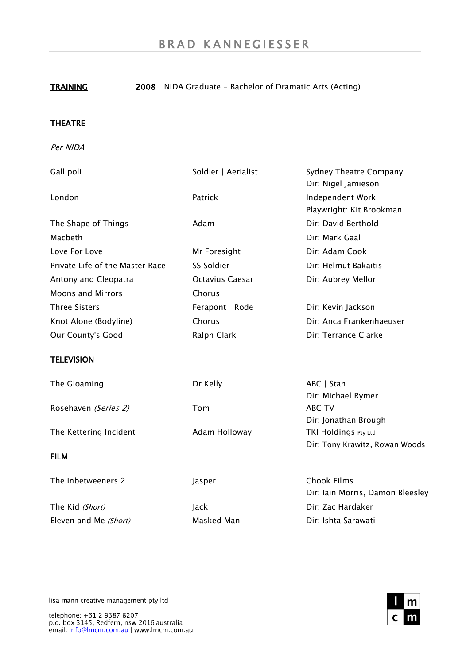## TRAINING 2008 NIDA Graduate - Bachelor of Dramatic Arts (Acting)

## **THEATRE**

Per NIDA

| Gallipoli                                      | Soldier   Aerialist | Sydney Theatre Company<br>Dir: Nigel Jamieson          |
|------------------------------------------------|---------------------|--------------------------------------------------------|
| London                                         | Patrick             | Independent Work<br>Playwright: Kit Brookman           |
| The Shape of Things                            | Adam                | Dir: David Berthold                                    |
| Macbeth                                        |                     | Dir: Mark Gaal                                         |
| Love For Love                                  | Mr Foresight        | Dir: Adam Cook                                         |
| Private Life of the Master Race                | SS Soldier          | Dir: Helmut Bakaitis                                   |
| Antony and Cleopatra                           | Octavius Caesar     | Dir: Aubrey Mellor                                     |
| <b>Moons and Mirrors</b>                       | Chorus              |                                                        |
| <b>Three Sisters</b>                           | Ferapont   Rode     | Dir: Kevin Jackson                                     |
| Knot Alone (Bodyline)                          | Chorus              | Dir: Anca Frankenhaeuser                               |
| Our County's Good                              | Ralph Clark         | Dir: Terrance Clarke                                   |
| <b>TELEVISION</b>                              |                     |                                                        |
| The Gloaming                                   | Dr Kelly            | $ABC \mid Stan$                                        |
|                                                |                     | Dir: Michael Rymer                                     |
| Rosehaven (Series 2)<br>The Kettering Incident | Tom                 | ABC TV                                                 |
|                                                |                     | Dir: Jonathan Brough                                   |
|                                                | Adam Holloway       | TKI Holdings Pty Ltd<br>Dir: Tony Krawitz, Rowan Woods |
| <b>FILM</b>                                    |                     |                                                        |
| The Inbetweeners 2                             | Jasper              | <b>Chook Films</b>                                     |
|                                                |                     | Dir: Iain Morris, Damon Bleesley                       |
| The Kid (Short)                                | Jack                | Dir: Zac Hardaker                                      |
| Eleven and Me (Short)                          | Masked Man          | Dir: Ishta Sarawati                                    |

lisa mann creative management pty ltd